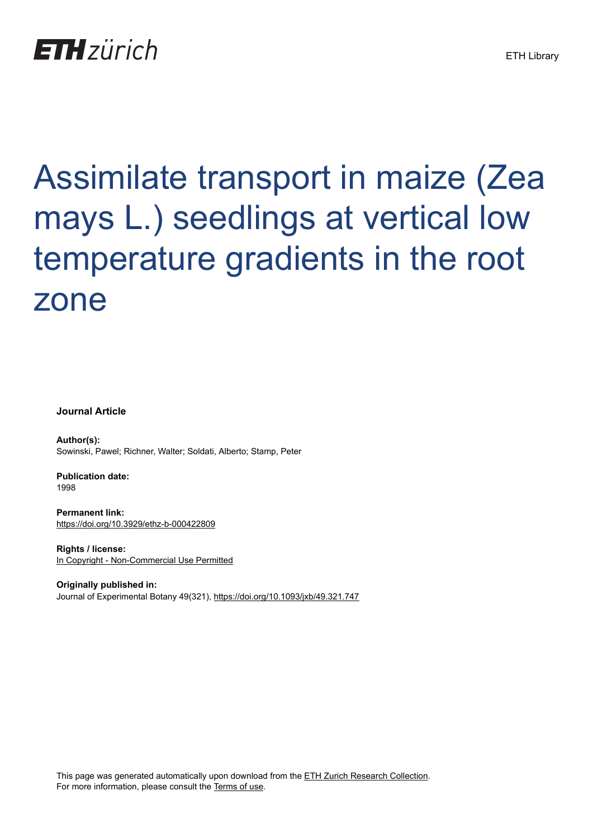# **ETH** zürich

# Assimilate transport in maize (Zea mays L.) seedlings at vertical low temperature gradients in the root zone

**Journal Article**

**Author(s):** Sowinski, Pawel; Richner, Walter; Soldati, Alberto; Stamp, Peter

**Publication date:** 1998

**Permanent link:** <https://doi.org/10.3929/ethz-b-000422809>

**Rights / license:** [In Copyright - Non-Commercial Use Permitted](http://rightsstatements.org/page/InC-NC/1.0/)

**Originally published in:** Journal of Experimental Botany 49(321), <https://doi.org/10.1093/jxb/49.321.747>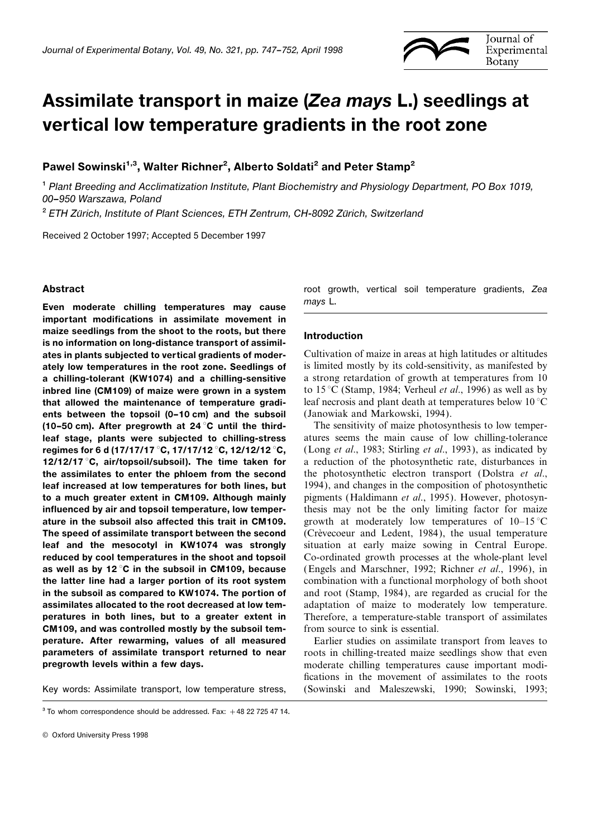

## Assimilate transport in maize (Zea mays L.) seedlings at vertical low temperature gradients in the root zone

Pawel Sowinski<sup>1,3</sup>, Walter Richner<sup>2</sup>, Alberto Soldati<sup>2</sup> and Peter Stamp<sup>2</sup>

1 Plant Breeding and Acclimatization Institute, Plant Biochemistry and Physiology Department, PO Box 1019, 00–950 Warszawa, Poland

 $2$  ETH Zürich, Institute of Plant Sciences, ETH Zentrum, CH-8092 Zürich, Switzerland

Received 2 October 1997; Accepted 5 December 1997

Even moderate chilling temperatures may cause mays L. important modifications in assimilate movement in maize seedlings from the shoot to the roots, but there Introduction is no information on long-distance transport of assimilates in plants subjected to vertical gradients of moder-<br>Cultivation of maize in areas at high latitudes or altitudes or altitudes ately low temperatures in the root zone. Seedlings of is limited mostly by its cold-sensitivity, as manifested by a chilling-tolerant (KW1074) and a chilling-sensitive a strong retardation of growth at temperatures from 10 inbred line (CM109) of maize were grown in a system to  $15^{\circ}$ C (Stamp, 1984; Verheul *et al.*, 1996) as well as by that allowed the maintenance of temperature gradi-<br>leaf necrosis and plant death at temperatures below  $10^{\circ}$ C ents between the topsoil (0-10 cm) and the subsoil (Janowiak and Markowski, 1994). (10–50 cm). After pregrowth at 24 °C until the third- The sensitivity of maize photosynthesis to low temperleaf stage, plants were subjected to chilling-stress atures seems the main cause of low chilling-tolerance regimes for 6 d (17/17/17 °C, 17/17/12 °C, 12/12/12 °C, (Long et al., 1983; Stirling et al., 1993), as indicated by 12/12/17 °C, air/topsoil/subsoil). The time taken for a reduction of the photosynthetic rate, disturbance 12/12/17 °C, air/topsoil/subsoil). The time taken for the assimilates to enter the phloem from the second the photosynthetic electron transport (Dolstra et al., leaf increased at low temperatures for both lines, but 1994), and changes in the composition of photosynthetic to a much greater extent in CM109. Although mainly pigments (Haldimann et al., 1995). However, photosyninfluenced by air and topsoil temperature, low temper-<br>thesis may not be the only limiting factor for maize ature in the subsoil also affected this trait in CM109. growth at moderately low temperatures of  $10-15\degree\text{C}$ **The speed of assimilate transport between the second** (Crèvecoeur and Ledent, 1984), the usual temperature leaf and the mesocotyl in KW1074 was strongly situation at early maize sowing in Central Europe. reduced by cool temperatures in the shoot and topsoil Co-ordinated growth processes at the whole-plant level as well as by 12 °C in the subsoil in CM109, because (Engels and Marschner, 1992; Richner et al., 1996), in the latter line had a larger portion of its root system combination with a functional morphology of both shoot in the subsoil as compared to KW1074. The portion of and root (Stamp, 1984), are regarded as crucial for the assimilates allocated to the root decreased at low tem-<br>adaptation of maize to moderately low temperature. peratures in both lines, but to a greater extent in Therefore, a temperature-stable transport of assimilates CM109, and was controlled mostly by the subsoil tem- from source to sink is essential. perature. After rewarming, values of all measured Earlier studies on assimilate transport from leaves to **parameters of assimilate transport returned to near** roots in chilling-treated maize seedlings show that even

Abstract **root** growth, vertical soil temperature gradients, Zea

**pregrowth levels within a few days.** moderate chilling temperatures cause important modifications in the movement of assimilates to the roots Key words: Assimilate transport, low temperature stress, (Sowinski and Maleszewski, 1990; Sowinski, 1993;

 $3$  To whom correspondence should be addressed. Fax:  $+48$  22 725 47 14.

<sup>©</sup> Oxford University Press 1998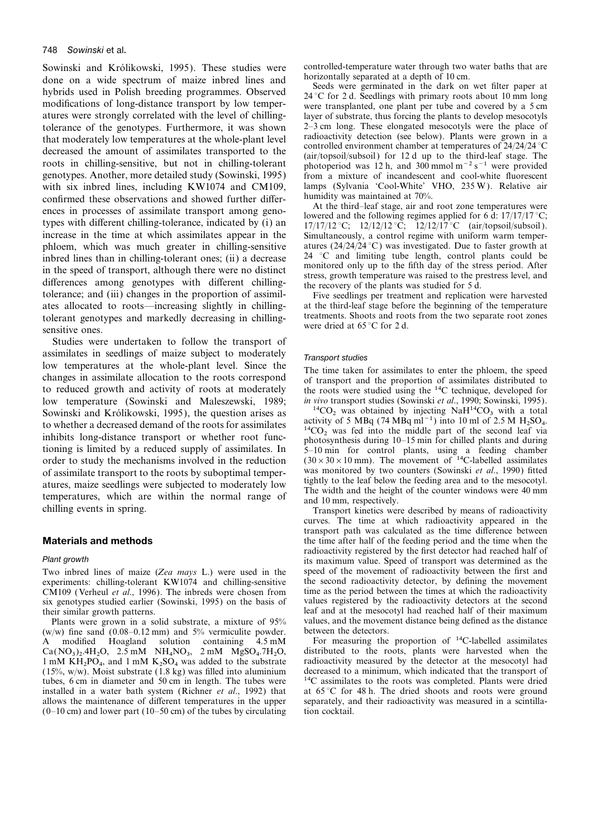### 748 Sowinski et al.

Sowinski and Królikowski, 1995). These studies were controlled-temperature water through two water baths that are<br>done on a wide spectrum of maize inbred lines and horizontally separated at a depth of 10 cm.<br>hybrids used i atures were strongly correlated with the level of chilling-<br>tolerance of the senotynes. Furthermore, it was shown<br> $2-3$  cm long. These elongated mesocotyls were the place of tolerance of the genotypes. Furthermore, it was shown 2–3 cm long. These elongated mesocotyls were the place of<br>that moderately low temperatures at the whole-plant level<br>decreased the amount of assimilates transported to with six inbred lines, including KW1074 and CM109, lamps (Sylvania 'Cool-White' VHO, 235 W). Relative air<br>confirmed these observations and showed further differentially was maintained at 70%. confirmed these observations and showed further differ-<br>At the third-leaf stage, air and root zone temperatures were ences in processes of assimilate transport among geno-<br>types with different chilling-tolerance, indicated by (i) and the following regimes applied for 6 d: 17/17/17 °C;<br>increase in the time at which assimilates appear in phloem, which was much greater in chilling-sensitive atures  $(24/24/24^{\circ}C)$  was investigated. Due to faster growth at inbred lines than in chilling-tolerant ones: (ii) a decrease  $24^{\circ}C$  and limiting tube length, cont in bred lines than in chilling-tolerant ones; (ii) a decrease and limiting tube length, control plants could be<br>in the speed of transport, although there were no distinct<br>differences among genotypes with different chilling ates allocated to roots—increasing slightly in chilling-<br>the third-leaf stage before the beginning of the temperature<br>telepant genotypes and markedly decreasing in chilling-<br>treatments. Shoots and roots from the two separa tolerant genotypes and markedly decreasing in chilling-<br>sensitive ones to were dried at 65 °C for 2 d.

Studies were undertaken to follow the transport of assimilates in seedlings of maize subject to moderately<br>low temperatures at the whole-plant level. Since the<br>changes in assimilate allocation to the roots correspond<br>to reduced growth and activity of roots at moderately<br>th low temperature (Sowinski and Maleszewski, 1989; *in vivo* transport studies (Sowinski *et al.*, 1990; Sowinski, 1995).<br>Sowinski and Królikowski 1995), the question arises as  $^{14}CO_2$  was obtained by injecting NaH<sup>14</sup>CO<sub></sub> Sowinski and Królikowski, 1995), the question arises as  $\frac{14 \text{CO}_2}{\text{activity of 5 MBq}}$  was obtained by injecting NaH<sup>14</sup>CO<sub>3</sub> with a total activity of 5 MBq (74 MBq ml<sup>−1</sup>) into 10 ml of 2.5 M H<sub>2</sub>SO<sub>4</sub>. To whether a decreased Sowinski and Królikowski, 1995), the question arises as<br>to whether a decreased demand of the roots for assimilates<br>inhibits long-distance transport or whether root func-<br>time-<br>time-<br>time-<br>time-<br>time-<br>time-<br>time-<br>time-<br>tim tioning is limited by a reduced supply of assimilates. In  $5-10$  min for control plants, using a feeding chamber order to study the mechanisms involved in the reduction  $(30 \times 30 \times 10$  mm). The movement of <sup>14</sup>C-labelled of assimilate transport to the roots by suboptimal temper-<br>at monitored by two counters (Sowinski *et al.*, 1990) fitted<br>at tightly to the leaf below the feeding area and to the mesocotyl. atures, maize seedlings were subjected to moderately low<br>temperatures, which are within the normal range of<br>chilling events in spring.<br>Transport kinetics were described by means of radioactivity

experiments: chilling-tolerant KW1074 and chilling-sensitive the second radioactivity detector, by defining the movement CM109 (Verheul *et al.*, 1996). The inbreds were chosen from time as the period between the times at  $\overline{CM}$ 109 (Verheul *et al.*, 1996). The inbreds were chosen from time as the period between the times at which the radioactivity six genotypes studied earlier (Sowinski 1995) on the basis of values registered by the rad six genotypes studied earlier (Sowinski, 1995) on the basis of

Plants were grown in a solid substrate, a mixture of  $95\%$  values, and the movem  $v/w$ ) fine sand (0.08–0.12 mm) and  $5\%$  vermiculite powder. between the detectors. (w/w) fine sand  $(0.08-0.12 \text{ mm})$  and 5% vermiculite powder. between the detectors.<br>A modified Hoagland solution containing 4.5 mM For measuring the proportion of <sup>14</sup>C-labelled assimilates A modified Hoagland solution containing 4.5 mM For measuring the proportion of <sup>14</sup>C-labelled assimilates  $Ca(NO<sub>3</sub>)<sub>2</sub>·4H<sub>2</sub>O$ , 2.5 mM NH<sub>4</sub>NO<sub>3</sub>, 2 mM MgSO<sub>4</sub>.7H<sub>2</sub>O, distributed to the roots, plants were harvested when the 3.3 mM VH<sub>4</sub>NO<sub>3</sub>, 2 mM MgSO<sub>4</sub>.7H<sub>2</sub>O, distributed to the roots, plants were harvested when  $PQ_4$ , and 1 mM  $K_2SO_4$  was added to the substrate<br>Moist substrate (1.8 kg) was filled into aluminium (15%, w/w). Moist substrate (1.8 kg) was filled into aluminium tubes, 6 cm in diameter and 50 cm in length. The tubes were installed in a water bath system (Richner *et al.*, 1992) that allows the maintenance of different temperatures in the upper  $(0-10 \text{ cm})$  and lower part  $(10-50 \text{ cm})$  of the tubes by circulating tion cocktail.

from a mixture of incandescent and cool-white fluorescent

Simultaneously, a control regime with uniform warm temperatures  $(24/24/24^{\circ}C)$  was investigated. Due to faster growth at

the roots were studied using the <sup>14</sup>C technique, developed for

curves. The time at which radioactivity appeared in the transport path was calculated as the time difference between **Materials and methods** the time after half of the feeding period and the time when the time when the time when the time when the time when the time when the time when the time when the time when the time when the time aft radioactivity registered by the first detector had reached half of Plant growth **its maximum value.** Speed of transport was determined as the Two inbred lines of maize (Zea mays L.) were used in the speed of the movement of radioactivity between the first and experiments: chilling-tolerant KW1074 and chilling-sensitive the second radioactivity detector, by defin their similar growth patterns.<br>
Plants were grown in a solid substrate, a mixture of 95% values, and the movement distance being defined as the distance

> radioactivity measured by the detector at the mesocotyl had decreased to a minimum, which indicated that the transport of <sup>14</sup>C assimilates to the roots was completed. Plants were dried at 65 °C for 48 h. The dried shoots and roots were ground separately, and their radioactivity was measured in a scintilla-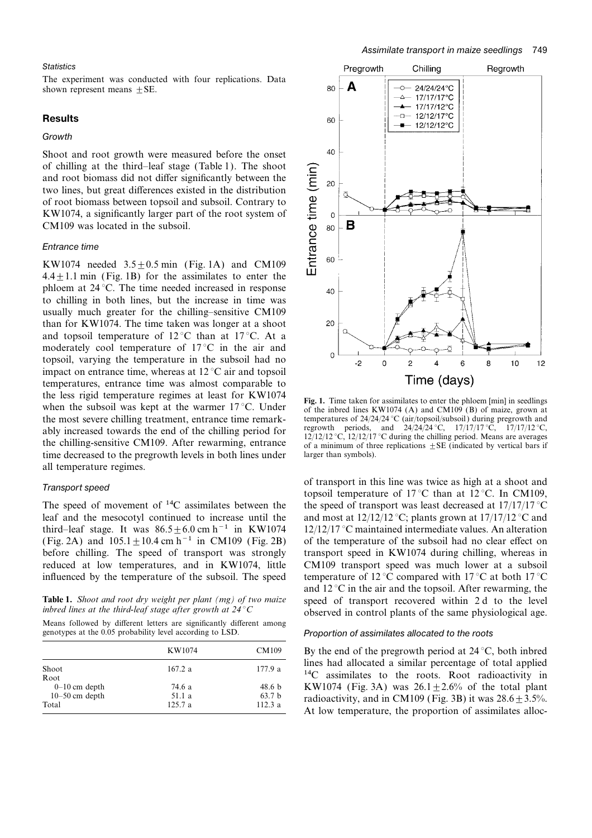### **Statistics**

The experiment was conducted with four replications. Data shown represent means  $\pm$  SE.

### Results

### **Growth**

Shoot and root growth were measured before the onset of chilling at the third–leaf stage (Table 1). The shoot and root biomass did not differ significantly between the two lines, but great differences existed in the distribution of root biomass between topsoil and subsoil. Contrary to KW1074, a significantly larger part of the root system of CM109 was located in the subsoil.

### Entrance time

KW1074 needed  $3.5 \pm 0.5$  min (Fig. 1A) and CM109  $4.4 \pm 1.1$  min (Fig. 1B) for the assimilates to enter the phloem at 24 °C. The time needed increased in response to chilling in both lines, but the increase in time was usually much greater for the chilling–sensitive CM109 than for KW1074. The time taken was longer at a shoot and topsoil temperature of 12 °C than at 17 °C. At a moderately cool temperature of 17 °C in the air and topsoil, varying the temperature in the subsoil had no impact on entrance time, whereas at 12 °C air and topsoil temperatures, entrance time was almost comparable to the less rigid temperature regimes at least for KW1074<br>when the subsoil was kept at the warmer 17 °C. Under<br>the most severe chilling treatment, entrance time remark-<br>temperatures of  $24/24/24$  °C (air/topsoil/subsoil) dur ably increased towards the end of the chilling period for<br>the periods, and  $24/24/24$ °C,  $17/17/17$ °C,  $17/17/12$ °C,<br>the chilling-sensitive CM109. After rewarming, entrance<br>of a minimum of three replications  $\pm$ SE (indic time decreased to the pregrowth levels in both lines under larger than symbols). all temperature regimes.

leaf and the mesocotyl continued to increase until the and most at  $12/12/12$  °C; plants grown at  $17/17/12$  °C and third–leaf stage. It was  $86.5 \pm 6.0$  cm h<sup>-1</sup> in KW1074 12/12/17 °C maintained intermediate values. An alteration (Fig. 2A) and  $105.1 \pm 10.4$  cm h<sup>-1</sup> in CM109 (Fig. 2B) of the temperature of the subsoil had no clear effect on before chilling. The speed of transport was strongly transport speed in KW1074 during chilling, whereas in reduced at low temperatures, and in KW1074, little CM109 transport speed was much lower at a subsoil influenced by the temperature of the subsoil. The speed temperature of 12 °C compared with 17 °C at both 17 °C

Means followed by different letters are significantly different among genotypes at the 0.05 probability level according to LSD. Proportion of assimilates allocated to the roots

|                  | KW1074  | CM109             |
|------------------|---------|-------------------|
| Shoot            | 167.2 a | 177.9 a           |
| Root             |         |                   |
| $0-10$ cm depth  | 74.6 a  | 48.6 <sub>b</sub> |
| $10-50$ cm depth | 51.1 a  | 63.7 <sub>b</sub> |
| Total            | 125.7a  | 112.3a            |



temperatures of 24/24/24 °C (air/topsoil/subsoil) during pregrowth and regrowth periods, and 24/24/24 °C,  $17/17/17$  °C,  $17/17/12$  °C,

Transport speed<br>topsoil temperature of 17 °C than at 12 °C. In CM109,<br>The speed of movement of <sup>14</sup>C assimilates between the speed of transport was least decreased at 17/17/17 °C the speed of transport was least decreased at  $17/17/17$  °C and  $12^{\circ}$ C in the air and the topsoil. After rewarming, the **Table 1.** Shoot and root dry weight per plant (mg) of two maize speed of transport recovered within 2 d to the level inbred lines at the third-leaf stage after growth at  $24^{\circ}$ C observed in control plants of the same p

By the end of the pregrowth period at  $24 \degree C$ , both inbred lines had allocated a similar percentage of total applied <sup>14</sup>C assimilates to the roots. Root radioactivity in KW1074 (Fig. 3A) was  $26.1 \pm 2.6$ % of the total plant radioactivity, and in CM109 (Fig. 3B) it was  $28.6 \pm 3.5$ %. At low temperature, the proportion of assimilates alloc-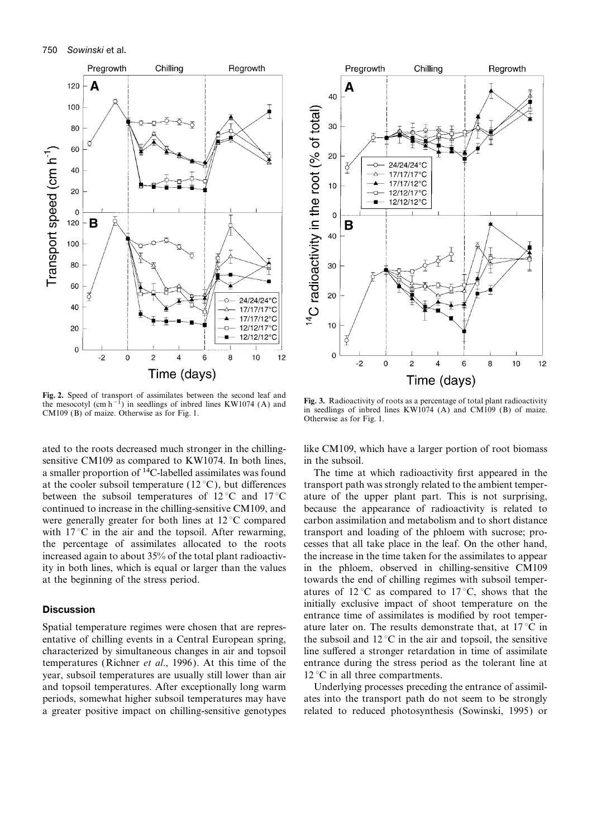

Fig. 2. Speed of transport of assimilates between the second leaf and<br>the mesocotyl (cm h<sup>-1</sup>) in seedlings of inbred lines KW1074 (A) and<br>CM109 (B) of maize. Otherwise as for Fig. 1.<br>Otherwise as for Fig. 1.<br>Otherwise as

ated to the roots decreased much stronger in the chilling- like CM109, which have a larger portion of root biomass sensitive CM109 as compared to KW1074. In both lines, in the subsoil. a smaller proportion of 14C-labelled assimilates was found The time at which radioactivity first appeared in the at the cooler subsoil temperature (12 °C), but differences transport path was strongly related to the ambient temperbetween the subsoil temperatures of  $12^{\circ}$ C and  $17^{\circ}$ C ature of the upper plant part. This is not surprising, continued to increase in the chilling-sensitive CM109, and because the appearance of radioactivity is related to were generally greater for both lines at  $12^{\circ}$ C compared carbon assimilation and metabolism and to short distance with  $17^{\circ}$ C in the air and the topsoil. After rewarming, transport and loading of the phloem with sucrose; prothe percentage of assimilates allocated to the roots cesses that all take place in the leaf. On the other hand, increased again to about 35% of the total plant radioactiv- the increase in the time taken for the assimilates to appear ity in both lines, which is equal or larger than the values in the phloem, observed in chilling-sensitive CM109

year, subsoil temperatures are usually still lower than air  $12 \degree C$  in all three compartments. and topsoil temperatures. After exceptionally long warm Underlying processes preceding the entrance of assimil-



at the beginning of the stress period. towards the end of chilling regimes with subsoil temperatures of  $12^{\circ}$ C as compared to  $17^{\circ}$ C, shows that the **Discussion**<br> **Discussion**<br> **Discussion**<br> **Discussion**<br> **Discussion**<br> **Discussion**<br> **Discussion**<br> **Discussion**<br> **Discussion**<br> **Discussion**<br> **Discussion**<br> **Discussion**<br> **Discussion**<br> **Discussion**<br> **Discussion**<br> **Discussion** Spatial temperature regimes were chosen that are repres- ature later on. The results demonstrate that, at  $17^{\circ}\text{C}$  in entative of chilling events in a Central European spring, the subsoil and  $12^{\circ}$ C in the air and topsoil, the sensitive characterized by simultaneous changes in air and topsoil line suffered a stronger retardation in time of assimilate temperatures (Richner et al., 1996). At this time of the entrance during the stress period as the tolerant line at

periods, somewhat higher subsoil temperatures may have ates into the transport path do not seem to be strongly a greater positive impact on chilling-sensitive genotypes related to reduced photosynthesis (Sowinski, 1995) or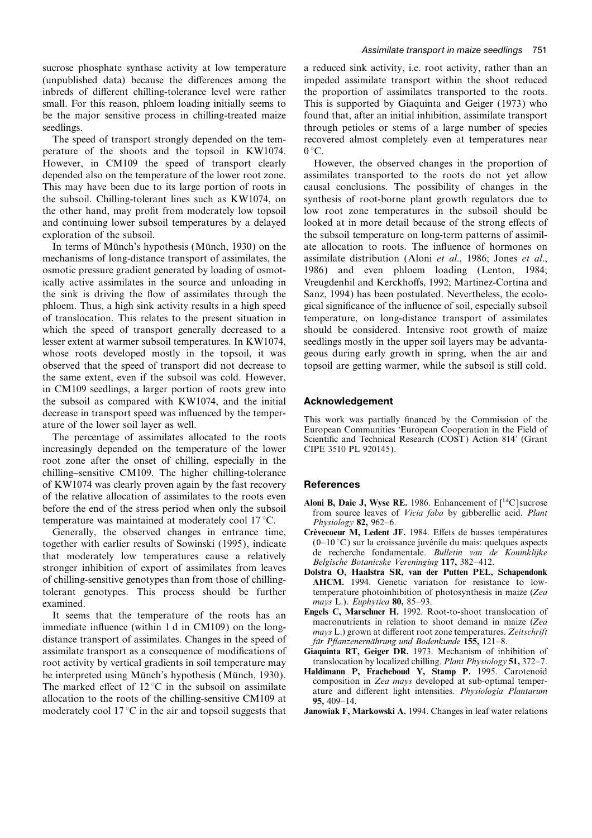sucrose phosphate synthase activity at low temperature a reduced sink activity, i.e. root activity, rather than an (unpublished data) because the differences among the impeded assimilate transport within the shoot reduced inbreds of different chilling-tolerance level were rather the proportion of assimilates transported to the roots. small. For this reason, phloem loading initially seems to This is supported by Giaquinta and Geiger (1973) who be the major sensitive process in chilling-treated maize found that, after an initial inhibition, assimilate transport seedlings. through petioles or stems of a large number of species

perature of the shoots and the topsoil in KW1074.  $0^{\circ}$ C. However, in CM109 the speed of transport clearly However, the observed changes in the proportion of depended also on the temperature of the lower root zone. assimilates transported to the roots do not yet allow This may have been due to its large portion of roots in causal conclusions. The possibility of changes in the the subsoil. Chilling-tolerant lines such as KW1074, on synthesis of root-borne plant growth regulators due to the other hand, may profit from moderately low topsoil low root zone temperatures in the subsoil should be and continuing lower subsoil temperatures by a delayed looked at in more detail because of the strong effects of exploration of the subsoil. the subsoil temperature on long-term patterns of assimil-

mechanisms of long-distance transport of assimilates, the assimilate distribution (Aloni et al., 1986; Jones et al., osmotic pressure gradient generated by loading of osmot- 1986) and even phloem loading (Lenton, 1984; ically active assimilates in the source and unloading in Vreugdenhil and Kerckhoffs, 1992; Martinez-Cortina and the sink is driving the flow of assimilates through the Sanz, 1994) has been postulated. Nevertheless, the ecolophloem. Thus, a high sink activity results in a high speed gical significance of the influence of soil, especially subsoil of translocation. This relates to the present situation in temperature, on long-distance transport of assimilates which the speed of transport generally decreased to a should be considered. Intensive root growth of maize lesser extent at warmer subsoil temperatures. In KW1074, seedlings mostly in the upper soil layers may be advantawhose roots developed mostly in the topsoil, it was geous during early growth in spring, when the air and observed that the speed of transport did not decrease to topsoil are getting warmer, while the subsoil is still cold. the same extent, even if the subsoil was cold. However, in CM109 seedlings, a larger portion of roots grew into the subsoil as compared with KW1074, and the initial Acknowledgement

increasingly depended on the temperature of the lower CIPE 3510 PL 920145). root zone after the onset of chilling, especially in the chilling–sensitive CM109. The higher chilling-tolerance of KW1074 was clearly proven again by the fast recovery **References** of the relative allocation of assimilates to the roots even<br>before the end of the stress period when only the subsoil<br>temperature was maintained at moderately cool 17 °C.<br>*Physiology* 82, 962–6. temperature was maintained at moderately cool  $17^{\circ}$ C.

Generally, the observed changes in entrance time, Crèvecoeur M, Ledent JF. 1984. Effets de basses températures together with earlier results of Sowinski (1995), indicate  $(0-10^{\circ}C)$  sur la croissance juvénile du mais: quelques aspects<br>that moderately low temperatures cause a relatively de recherche fondamentale. *Bulletin van de* tolerant genotypes. This process should be further examined.<br> **EURENAL EXAMPLE 2008** Examples 2008 English C. Marschner H. 1992. Root-to-shoot translocation of

It seems that the temperature of the roots has an<br>immediate influence (within 1 d in CM109) on the long-<br>distance transport of assimilates. Changes in the speed of<br>assimilate transport as a consequence of modifications of<br> assimilate transport as a consequence of modifications of Giaquinta RT, Geiger DR. 1973. Mechanism of inhibition of root activity by vertical gradients in soil temperature may translocation by localized chilling. Plant Phy root activity by vertical gradients in soil temperature may<br>be interpreted using Münch's hypothesis (Münch, 1930).<br>The marked effect of 12 °C in the subsoil on assimilate<br>allocation to the roots of the chilling-sensitive moderately cool  $17^{\circ}$ C in the air and topsoil suggests that **Janowiak F, Markowski A.** 1994. Changes in leaf water relations

The speed of transport strongly depended on the tem- recovered almost completely even at temperatures near

In terms of Münch's hypothesis (Münch, 1930) on the ate allocation to roots. The influence of hormones on

decrease in transport speed was influenced by the temper-<br>ature of the lower soil layer as well.<br>This work was partially financed by the Commission of the<br>European Communities 'European Cooperation in the Field of<br>European

- 
- 
- 
- 
- 
- 
-